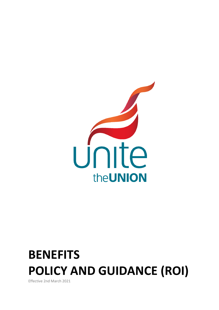

# **BENEFITS POLICY AND GUIDANCE (ROI)**

Effective 2nd March 2021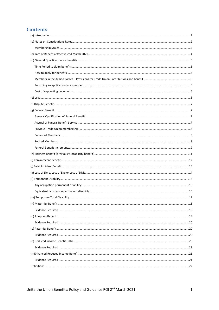# **Contents**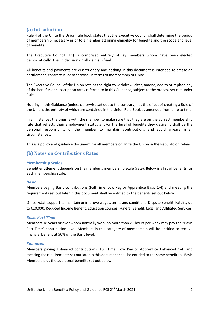# <span id="page-2-0"></span>**(a) Introduction**

Rule 4 of the Unite the Union rule book states that the Executive Council shall determine the period of membership necessary prior to a member attaining eligibility for benefits and the scope and level of benefits.

The Executive Council (EC) is comprised entirely of lay members whom have been elected democratically. The EC decision on all claims is final.

All benefits and payments are discretionary and nothing in this document is intended to create an entitlement, contractual or otherwise, in terms of membership of Unite.

The Executive Council of the Union retains the right to withdraw, alter, amend, add to or replace any of the benefits or subscription rates referred to in this Guidance, subject to the process set out under Rule.

Nothing in this Guidance (unless otherwise set out to the contrary) has the effect of creating a Rule of the Union, the entirety of which are contained in the Union Rule Book as amended from time to time.

In all instances the onus is with the member to make sure that they are on the correct membership rate that reflects their employment status and/or the level of benefits they desire. It shall be the personal responsibility of the member to maintain contributions and avoid arrears in all circumstances.

This is a policy and guidance document for all members of Unite the Union in the Republic of Ireland.

# <span id="page-2-1"></span>**(b) Notes on Contributions Rates**

#### <span id="page-2-2"></span>**Membership Scales**

Benefit entitlement depends on the member's membership scale (rate). Below is a list of benefits for each membership scale.

#### *Basic*

Members paying Basic contributions (Full Time, Low Pay or Apprentice Basic 1-4) and meeting the requirements set out later in this document shall be entitled to the benefits set out below:

Officer/staff support to maintain or improve wages/terms and conditions, Dispute Benefit, Fatality up to €10,000, Reduced Income Benefit, Education courses, Funeral Benefit, Legal and Affiliated Services.

#### *Basic Part Time*

Members 18 years or over whom normally work no more than 21 hours per week may pay the "Basic Part Time" contribution level. Members in this category of membership will be entitled to receive financial benefit at 50% of the Basic level.

#### *Enhanced*

Members paying Enhanced contributions (Full Time, Low Pay or Apprentice Enhanced 1-4) and meeting the requirements set out later in this document shall be entitled to the same benefits as Basic Members plus the additional benefits set out below: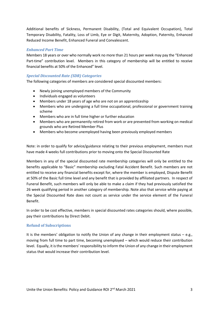Additional benefits of Sickness, Permanent Disability, (Total and Equivalent Occupation), Total Temporary Disability, Fatality, Loss of Limb, Eye or Digit, Maternity, Adoption, Paternity, Enhanced Reduced Income Benefit, Enhanced Funeral and Convalescent.

## *Enhanced Part Time*

Members 18 years or over who normally work no more than 21 hours per week may pay the "Enhanced Part-time" contribution level. Members in this category of membership will be entitled to receive financial benefits at 50% of the Enhanced" level.

## *Special Discounted Rate (SDR) Categories*

The following categories of members are considered special discounted members:

- Newly joining unemployed members of the Community
- Individuals engaged as volunteers
- Members under 18 years of age who are not on an apprenticeship
- Members who are undergoing a full time occupational, professional or government training scheme
- Members who are in full time higher or further education
- Members who are permanently retired from work or are prevented from working on medical grounds who are Retired Member Plus
- Members who become unemployed having been previously employed members

Note: in order to qualify for advice/guidance relating to their previous employment, members must have made 4 weeks full contributions prior to moving onto the Special Discounted Rate

Members in any of the special discounted rate membership categories will only be entitled to the benefits applicable to "Basic" membership excluding Fatal Accident Benefit. Such members are not entitled to receive any financial benefits except for, where the member is employed, Dispute Benefit at 50% of the Basic full time level and any benefit that is provided by affiliated partners. In respect of Funeral Benefit, such members will only be able to make a claim if they had previously satisfied the 26 week qualifying period in another category of membership. Note also that service while paying at the Special Discounted Rate does not count as service under the service element of the Funeral Benefit.

In order to be cost effective, members in special discounted rates categories should, where possible, pay their contributions by Direct Debit.

#### **Refund of Subscriptions**

It is the members' obligation to notify the Union of any change in their employment status  $-$  e.g., moving from full time to part time, becoming unemployed – which would reduce their contribution level. Equally, it is the members' responsibility to inform the Union of any change in their employment status that would increase their contribution level.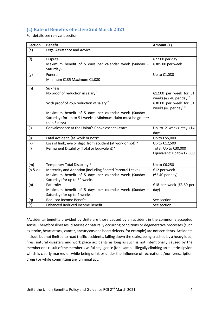# <span id="page-4-0"></span>**(c) Rate of Benefits effective 2nd March 2021**

For details see relevant section

| <b>Section</b> | <b>Benefit</b>                                                                                                                                     | Amount (€)                                                              |
|----------------|----------------------------------------------------------------------------------------------------------------------------------------------------|-------------------------------------------------------------------------|
| (e)            | Legal Assistance and Advice                                                                                                                        |                                                                         |
| (f)            | Dispute<br>Maximum benefit of 5 days per calendar week (Sunday -<br>Saturday)                                                                      | €77.00 per day<br>€385.00 per week                                      |
| (g)            | <b>Funeral</b><br>Minimum €135 Maximum €1,080                                                                                                      | Up to €1,080                                                            |
| (h)            | <b>Sickness</b><br>No proof of reduction in salary $1$                                                                                             | €12.00 per week for 51<br>weeks ( $\epsilon$ 2.40 per day) <sup>1</sup> |
|                | With proof of 25% reduction of salary <sup>2</sup>                                                                                                 | €30.00 per week for 51<br>weeks ( $\epsilon$ 6 per day) <sup>2</sup>    |
|                | Maximum benefit of 5 days per calendar week (Sunday -<br>Saturday) for up to 51 weeks. (Minimum claim must be greater<br>than 5 days)              |                                                                         |
| (i)            | Convalescence at the Union's Convalescent Centre                                                                                                   | Up to 2 weeks stay (14<br>days)                                         |
| (j)            | Fatal Accident (at work or not)*                                                                                                                   | Up to €55,000                                                           |
| (k)            | Loss of limb, eye or digit from accident (at work or not) *                                                                                        | Up to €12,500                                                           |
| (1)            | Permanent Disability (Total or Equivalent)*                                                                                                        | Total: Up to €30,000<br>Equivalent: Up to €12,500                       |
| (m)            | Temporary Total Disability *                                                                                                                       | Up to €6,250                                                            |
| (n & o)        | Maternity and Adoption (including Shared Parental Leave)<br>Maximum benefit of 5 days per calendar week (Sunday -<br>Saturday) for up to 39 weeks. | €12 per week<br>(€2.40 per day)                                         |
| (p)            | Paternity<br>Maximum benefit of 5 days per calendar week (Sunday -<br>Saturday) for up to 2 weeks.                                                 | €18 per week (€3.60 per<br>day)                                         |
| (q)            | <b>Reduced Income Benefit</b>                                                                                                                      | See section                                                             |
| (r)            | <b>Enhanced Reduced Income Benefit</b>                                                                                                             | See section                                                             |

\*Accidental benefits provided by Unite are those caused by an accident in the commonly accepted sense. Therefore illnesses, diseases or naturally occurring conditions or degenerative processes (such as stroke, heart attack, cancer, aneurysms and heart defects, for example) are not accidents. Accidents include but not limited to road traffic accidents, falling down the stairs, being crushed by a heavy load, fires, natural disasters and work place accidents as long as such is not intentionally caused by the member or a result of the member's wilful negligence (for example illegally climbing an electrical pylon which is clearly marked or while being drink or under the influence of recreational/non-prescription drugs) or while committing any criminal act.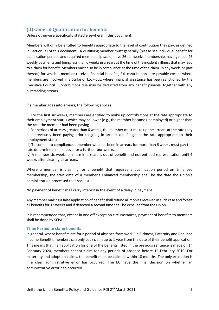# <span id="page-5-0"></span>**(d) General Qualification for benefits**

Unless otherwise specifically stated elsewhere in this document:

Members will only be entitled to benefits appropriate to the level of contribution they pay, as defined in Section (a) of this document. A qualifying member must generally (please see individual benefit for qualification periods and required membership scale) have 26 full weeks membership, having made 26 weekly payments and being less than 6 weeks in arrears at the time of the incident / illness that may lead to a claim for benefit. Members must also be in compliance at the time of the claim. In any week, or part thereof, for which a member receives financial benefits, full contributions are payable except where members are involved in a Strike or Lock-out, where financial assistance has been sanctioned by the Executive Council. Contributions due may be deducted from any benefit payable, together with any outstanding arrears.

If a member goes into arrears, the following applies:

i) For the first six weeks, members are entitled to make up contributions at the rate appropriate to their employment status which may be lower (e.g., the member became unemployed) or higher than the rate the member had been paying

ii) For periods of arrears greater than 6 weeks, the member must make up the arrears at the rate they had previously been paying prior to going in arrears or, if higher, the rate appropriate to their employment status

iii) To come into compliance, a member who has been in arrears for more than 6 weeks must pay the rate determined in (ii) above for a further four weeks.

iv) A member six weeks or more in arrears is out of benefit and not entitled representation until 4 weeks after clearing all arrears.

Where a member is claiming for a benefit that requires a qualification period on Enhanced membership, the start date of a member's Enhanced membership shall be the date the Union's administration processed that request.

No payment of benefit shall carry interest in the event of a delay in payment.

Any member making a false application of benefit shall refund all monies received in such case and forfeit all benefits for 13 weeks and if detected a second time shall be expelled from the Union.

It is recommended that, except in one off exception circumstances, payment of benefits to members shall be done by SEPA.

#### <span id="page-5-1"></span>**Time Period to claim benefits**

In general, where benefits are for a period of absence from work (i.e Sickness, Paternity and Reduced Income Benefit), members can only back claim up to 1 year from the date of their benefit application. This means that if an application for one of the benefits listed in the previous sentence is made on  $1<sup>st</sup>$ February 2020, members cannot claim for any periods of absence before  $1<sup>st</sup>$  February 2019. For maternity and adoption claims, the benefit must be claimed within 18 months. The only exception is if a clear administrative error has occurred. The EC have the final decision on whether an administrative error had occurred.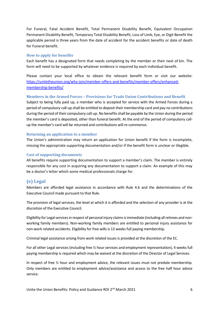For Funeral, Fatal Accident Benefit, Total Permanent Disability Benefit, Equivalent Occupation Permanent Disability Benefit, Temporary Total Disability Benefit, Loss of Limb, Eye, or Digit Benefit the applicable period is three years from the date of accident for the accident benefits or date of death for Funeral benefit.

#### <span id="page-6-0"></span>**How to apply for benefits**

Each benefit has a designated form that needs completing by the member or their next of kin. The form will need to be supported by whatever evidence is required by each individual benefit.

Please contact your local office to obtain the relevant benefit form or visit our website: [https://unitetheunion.org/why-join/member-offers-and-benefits/member-offers/enhanced](https://unitetheunion.org/why-join/member-offers-and-benefits/member-offers/enhanced-membership-benefits/)[membership-benefits/](https://unitetheunion.org/why-join/member-offers-and-benefits/member-offers/enhanced-membership-benefits/)

## <span id="page-6-1"></span>**Members in the Armed Forces – Provisions for Trade Union Contributions and Benefit**

Subject to being fully paid up, a member who is accepted for service with the Armed Forces during a period of compulsory call-up shall be entitled to deposit their membership card and pay no contributions during the period of their compulsory call-up. No benefits shall be payable by the Union during the period the member's card is deposited, other than funeral benefit. At the end of the period of compulsory callup the member's card will be returned and contributions will re-commence.

## <span id="page-6-2"></span>**Returning an application to a member**

The Union's administration may return an application for Union benefit if the form is incomplete, missing the appropriate supporting documentation and/or if the benefit form is unclear or illegible.

#### <span id="page-6-3"></span>**Cost of supporting documents**

All benefits require supporting documentation to support a member's claim. The member is entirely responsible for any cost in acquiring any documentation to support a claim. An example of this may be a doctor's letter which some medical professionals charge for.

# <span id="page-6-4"></span>**(e) Legal**

Members are afforded legal assistance in accordance with Rule 4.6 and the determinations of the Executive Council made pursuant to that Rule.

The provision of legal services, the level at which it is afforded and the selection of any provider is at the discretion of the Executive Council.

Eligibility for Legal services in respect of personal injury claimsis immediate (including all retirees and nonworking family members). Non-working family members are entitled to personal injury assistance for non-work related accidents. Eligibility for free wills is 13 weeks full paying membership.

Criminal legal assistance arising from work related issues is provided at the discretion of the EC.

For all other Legal services (including free ½ hour services and employment representation), 4 weeks full paying membership is required which may be waived at the discretion of the Director of Legal Services.

In respect of free ½ hour and employment advice, the relevant issues must not predate membership. Only members are entitled to employment advice/assistance and access to the free half hour advice service.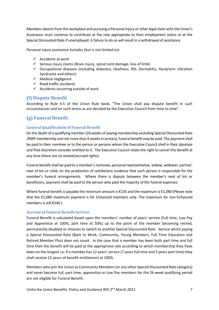Members absent from the workplace and pursuing a Personal Injury or other legal claim with the Union's Assistance must continue to contribute at the rate appropriate to their employment status or at the Special Discounted Rate if unemployed. A failure to do so will result in a withdrawal of assistance.

Personal injury assistance includes (but is not limited to):

- $\checkmark$  Accidents at work
- $\checkmark$  Serious injury claims (Brain injury, spinal cord damage, loss of limb)
- $\checkmark$  Occupational diseases (including Asbestos, Deafness, RSI, Dermatitis, Hand/arm Vibration Syndrome and others)
- $\checkmark$  Medical negligence
- $\checkmark$  Road traffic accidents
- $\checkmark$  Accidents occurring outside of work

# <span id="page-7-0"></span>**(f) Dispute Benefit**

According to Rule 4.5 of the Union Rule book, "The Union shall pay dispute benefit in such circumstances and on such terms as are decided by the Executive Council from time to time".

# <span id="page-7-1"></span>**(g) Funeral Benefit**

## <span id="page-7-2"></span>**General Qualification of Funeral Benefit**

On the death of a qualifying member (26 weeks of paying membership excluding Special Discounted Rate /RMP membership and not more than 6 weeks in arrears), funeral benefit may be paid. The payment shall be paid to their nominee or to the person or persons whom the Executive Council shall in their absolute and final discretion consider entitled to it. The Executive Council retain the right to cancel this benefit at any time (there are no vested/accrued rights).

Funeral benefit shall be paid to a member's nominee, personal representative, widow, widower, partner, next of kin or child, on the production of satisfactory evidence that such person is responsible for the member's funeral arrangements. Where there is dispute between the member's next of kin or beneficiary, payment shall be paid to the person who paid the majority of the funeral expenses.

Where funeral benefit is payable the minimum amount is €135 and the maximum is €1,080 (Please note that the €1,080 maximum payment is for Enhanced members only. The maximum for non-Enhanced members is still €540.)

#### <span id="page-7-3"></span>**Accrual of Funeral Benefit Service**

Funeral Benefit is calculated based upon the members' number of years' service (Full time, Low Pay and Apprentice at 100%, part time at 50%) up to the point of the member becoming retired, permanently disabled or chooses to switch to another Special Discounted Rate. Service whilst paying a Special Discounted Rate (Back to Work, Community, Young Members, Full Time Education and Retired Member Plus) does not count. In the case that a member has been both part time and full time then the benefit will be paid at the appropriate rate according to which membership they have been on the longest i.e. If a member has 12 years' service (7 years full time and 5 years part time) they shall receive 12 years of benefit entitlement at 100%.

Members who join the Union as Community Members (or any other Special Discounted Rate category) and never become full, part time, apprentice or Low Pay members for the 26 week qualifying period are not eligible for Funeral Benefit.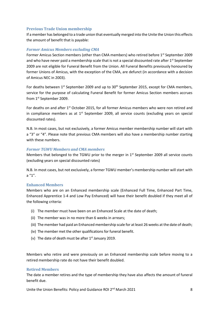## <span id="page-8-0"></span>**Previous Trade Union membership**

If a member has belonged to a trade union that eventually merged into the Unite the Union this effects the amount of benefit that is payable:

## *Former Amicus Members excluding CMA*

Former Amicus Section members (other than CMA members) who retired before 1<sup>st</sup> September 2009 and who have never paid a membership scale that is not a special discounted rate after  $1<sup>st</sup>$  September 2009 are not eligible for Funeral Benefit from the Union. All Funeral Benefits previously honoured by former Unions of Amicus, with the exception of the CMA, are defunct (in accordance with a decision of Amicus NEC in 2003).

For deaths between  $1^{st}$  September 2009 and up to  $30^{th}$  September 2015, except for CMA members, service for the purpose of calculating Funeral Benefit for former Amicus Section members accrues from 1st September 2009.

For deaths on and after 1<sup>st</sup> October 2015, for all former Amicus members who were non retired and in compliance members as at  $1<sup>st</sup>$  September 2009, all service counts (excluding years on special discounted rates).

N.B. In most cases, but not exclusively, a former Amicus member membership number will start with a "3" or "4". Please note that previous CMA members will also have a membership number starting with these numbers.

#### *Former TGWU Members and CMA members*

Members that belonged to the TGWU prior to the merger in  $1<sup>st</sup>$  September 2009 all service counts (excluding years on special discounted rates)

N.B. In most cases, but not exclusively, a former TGWU member's membership number will start with a "1".

#### <span id="page-8-1"></span>**Enhanced Members**

Members who are on an Enhanced membership scale (Enhanced Full Time, Enhanced Part Time, Enhanced Apprentice 1-4 and Low Pay Enhanced) will have their benefit doubled if they meet all of the following criteria:

- (i) The member must have been on an Enhanced Scale at the date of death;
- (ii) The member was in no more than 6 weeks in arrears;
- (iii) The member had paid an Enhanced membership scale for at least 26 weeks at the date of death;
- (iv) The member met the other qualifications for funeral benefit.
- (v) The date of death must be after  $1<sup>st</sup>$  January 2019.

Members who retire and were previously on an Enhanced membership scale before moving to a retired membership rate do not have their benefit doubled.

#### <span id="page-8-2"></span>**Retired Members**

The date a member retires and the type of membership they have also affects the amount of funeral benefit due.

Unite the Union Benefits: Policy and Guidance ROI  $2^{nd}$  March 2021  $\hspace{2cm}8$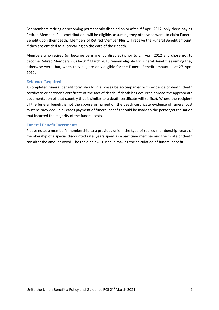For members retiring or becoming permanently disabled on or after  $2^{nd}$  April 2012, only those paying Retired Members Plus contributions will be eligible, assuming they otherwise were, to claim Funeral Benefit upon their death. Members of Retired Member Plus will receive the Funeral Benefit amount, if they are entitled to it, prevailing on the date of their death.

Members who retired (or became permanently disabled) prior to 2<sup>nd</sup> April 2012 and chose not to become Retired Members Plus by 31<sup>st</sup> March 2015 remain eligible for Funeral Benefit (assuming they otherwise were) but, when they die, are only eligible for the Funeral Benefit amount as at 2<sup>nd</sup> April 2012.

#### **Evidence Required**

A completed funeral benefit form should in all cases be accompanied with evidence of death (death certificate or coroner's certificate of the fact of death. If death has occurred abroad the appropriate documentation of that country that is similar to a death certificate will suffice). Where the recipient of the funeral benefit is not the spouse or named on the death certificate evidence of funeral cost must be provided. In all cases payment of funeral benefit should be made to the person/organisation that incurred the majority of the funeral costs.

## <span id="page-9-0"></span>**Funeral Benefit Increments**

Please note: a member's membership to a previous union, the type of retired membership, years of membership of a special discounted rate, years spent as a part time member and their date of death can alter the amount owed. The table below is used in making the calculation of funeral benefit.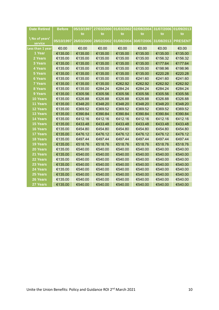| <b>Date Retired</b> | <b>Before</b> |                       | 05/10/1997   27/03/2000 | 01/03/2002 | 02/08/2004 | 31/07/2006 | 01/09/2013     |
|---------------------|---------------|-----------------------|-------------------------|------------|------------|------------|----------------|
|                     |               | to                    | to                      | to         | to         | to         | to             |
| \ No of years'      |               | 05/10/1997 26/03/2000 | 28/02/2002              | 01/08/2004 | 30/07/2006 | 31/08/2013 | <b>PRESENT</b> |
| service             |               |                       |                         |            |            |            |                |
| Less than 1 year    | €0.00         | €0.00                 | €0.00                   | €0.00      | €0.00      | €0.00      | €0.00          |
| 1 Year              | €135.00       | €135.00               | €135.00                 | €135.00    | €135.00    | €135.00    | €135.00        |
| 2 Years             | €135.00       | €135.00               | €135.00                 | €135.00    | €135.00    | €156.32    | €156.32        |
| 3 Years             | €135.00       | €135.00               | €135.00                 | €135.00    | €135.00    | €177.64    | €177.64        |
| 4 Years             | €135.00       | €135.00               | €135.00                 | €135.00    | €135.00    | €198.96    | €198.96        |
| 5 Years             | €135.00       | €135.00               | €135.00                 | €135.00    | €135.00    | €220.28    | €220.28        |
| <b>6 Years</b>      | €135.00       | €135.00               | €135.00                 | €135.00    | €241.60    | €241.60    | €241.60        |
| <b>7 Years</b>      | €135.00       | €135.00               | €135.00                 | €262.92    | €262.92    | €262.92    | €262.92        |
| 8 Years             | €135.00       | €135.00               | €284.24                 | €284.24    | €284.24    | €284.24    | €284.24        |
| 9 Years             | €135.00       | €305.56               | €305.56                 | €305.56    | €305.56    | €305.56    | €305.56        |
| 10 Years            | €135.00       | €326.88               | €326.88                 | €326.88    | €326.88    | €326.88    | €326.88        |
| 11 Years            | €135.00       | €348.20               | €348.20                 | €348.20    | €348.20    | €348.20    | €348.20        |
| 12 Years            | €135.00       | €369.52               | €369.52                 | €369.52    | €369.52    | €369.52    | €369.52        |
| 13 Years            | €135.00       | €390.84               | €390.84                 | €390.84    | €390.84    | €390.84    | €390.84        |
| <b>14 Years</b>     | €135.00       | €412.16               | €412.16                 | €412.16    | €412.16    | €412.16    | €412.16        |
| <b>15 Years</b>     | €135.00       | €433.48               | €433.48                 | €433.48    | €433.48    | €433.48    | €433.48        |
| 16 Years            | €135.00       | €454.80               | €454.80                 | €454.80    | €454.80    | €454.80    | €454.80        |
| <b>17 Years</b>     | €135.00       | €476.12               | €476.12                 | €476.12    | €476.12    | €476.12    | €476.12        |
| 18 Years            | €135.00       | €497.44               | €497.44                 | €497.44    | €497.44    | €497.44    | €497.44        |
| <b>19 Years</b>     | €135.00       | €518.76               | €518.76                 | €518.76    | €518.76    | €518.76    | €518.76        |
| <b>20 Years</b>     | €135.00       | €540.00               | €540.00                 | €540.00    | €540.00    | €540.00    | €540.00        |
| 21 Years            | €135.00       | €540.00               | €540.00                 | €540.00    | €540.00    | €540.00    | €540.00        |
| 22 Years            | €135.00       | €540.00               | €540.00                 | €540.00    | €540.00    | €540.00    | €540.00        |
| 23 Years            | €135.00       | €540.00               | €540.00                 | €540.00    | €540.00    | €540.00    | €540.00        |
| 24 Years            | €135.00       | €540.00               | €540.00                 | €540.00    | €540.00    | €540.00    | €540.00        |
| 25 Years            | €135.00       | €540.00               | €540.00                 | €540.00    | €540.00    | €540.00    | €540.00        |
| 26 Years            | €135.00       | €540.00               | €540.00                 | €540.00    | €540.00    | €540.00    | €540.00        |
| 27 Years            | €135.00       | €540.00               | €540.00                 | €540.00    | €540.00    | €540.00    | €540.00        |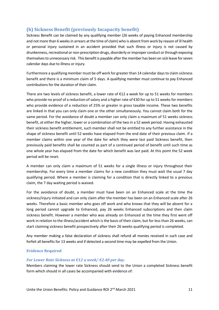# <span id="page-11-0"></span>**(h) Sickness Benefit (previously Incapacity benefit)**

Sickness Benefit can be claimed by any qualifying member (26 weeks of paying Enhanced membership and not more than 6 weeks in arrears at the time of claim) who is absent from work by reason of ill health or personal injury sustained in an accident provided that such illness or injury is not caused by drunkenness, recreational or non-prescription drugs, disorderly or improper conduct or through exposing themselves to unnecessary risk. This benefit is payable after the member has been on sick leave for seven calendar days due to illness or injury.

Furthermore a qualifying member must be off work for greater than 14 calendar days to claim sickness benefit and there is a minimum claim of 5 days. A qualifying member must continue to pay Enhanced contributions for the duration of their claim.

There are two levels of sickness benefit, a lower rate of  $E12$  a week for up to 51 weeks for members who provide no proof of a reduction of salary and a higher rate of €30 for up to 51 weeks for members who provide evidence of a reduction of 25% or greater in gross taxable income. These two benefits are linked in that you can only claim one or the other simultaneously. You cannot claim both for the same period. For the avoidance of doubt a member can only claim a maximum of 51 weeks sickness benefit, at either the higher, lower or a combination of the two in a 52 week period. Having exhausted their sickness benefit entitlement, such member shall not be entitled to any further assistance in the shape of sickness benefit until 52 weeks have elapsed from the end date of their previous claim. If a member claims within one year of the date for which they were last paid Sickness benefit, then previously paid benefits shall be counted as part of a continued period of benefit until such time as one whole year has elapsed from the date for which benefit was last paid. At this point the 52 week period will be reset.

A member can only claim a maximum of 51 weeks for a single illness or injury throughout their membership. For every time a member claims for a new condition they must wait the usual 7 day qualifying period. Where a member is claiming for a condition that is directly linked to a previous claim, the 7 day waiting period is waived.

For the avoidance of doubt, a member must have been on an Enhanced scale at the time the sickness/injury initiated and can only claim after the member has been on an Enhanced scale after 26 weeks. Therefore a basic member who goes off work and who knows that they will be absent for a long period cannot upgrade to Enhanced, pay 26 weeks Enhanced subscriptions and then claim sickness benefit. However a member who was already on Enhanced at the time they first went off work in relation to the illness/accident which is the basis of their claim, but for less than 26 weeks, can start claiming sickness benefit prospectively after their 26 weeks qualifying period is completed.

Any member making a false declaration of sickness shall refund all monies received in such case and forfeit all benefits for 13 weeks and if detected a second time may be expelled from the Union.

## **Evidence Required**

## *For Lower Rate Sickness at €12 a week/ €2.40 per day.*

Members claiming the lower rate Sickness should send to the Union a completed Sickness benefit form which should in all cases be accompanied with evidence of: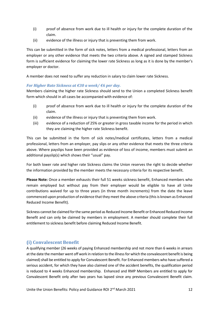- (i) proof of absence from work due to ill health or injury for the complete duration of the claim.
- (ii) evidence of the illness or injury that is preventing them from work.

This can be submitted in the form of sick notes, letters from a medical professional, letters from an employer or any other evidence that meets the two criteria above. A signed and stamped Sickness form is sufficient evidence for claiming the lower rate Sickness as long as it is done by the member's employer or doctor.

A member does not need to suffer any reduction in salary to claim lower rate Sickness.

## *For Higher Rate Sickness at €30 a week/ €6 per day.*

Members claiming the higher rate Sickness should send to the Union a completed Sickness benefit form which should in all cases be accompanied with evidence of:

- (i) proof of absence from work due to ill health or injury for the complete duration of the claim.
- (ii) evidence of the illness or injury that is preventing them from work.
- (iii) evidence of a reduction of 25% or greater in gross taxable income for the period in which they are claiming the higher rate Sickness benefit.

This can be submitted in the form of sick notes/medical certificates, letters from a medical professional, letters from an employer, pay slips or any other evidence that meets the three criteria above. Where payslips have been provided as evidence of loss of income, members must submit an additional payslip(s) which shows their "usual" pay.

For both lower rate and higher rate Sickness claims the Union reserves the right to decide whether the information provided by the member meets the necessary criteria for its respective benefit.

**Please Note:** Once a member exhausts their full 51 weeks sickness benefit, Enhanced members who remain employed but without pay from their employer would be eligible to have all Unite contributions waived for up to three years (in three month increments) from the date the leave commenced upon production of evidence that they meet the above criteria (this is known as Enhanced Reduced Income Benefit).

Sickness cannot be claimed for the same period as Reduced Income Benefit or Enhanced Reduced Income Benefit and can only be claimed by members in employment. A member should complete their full entitlement to sickness benefit before claiming Reduced Income Benefit.

# <span id="page-12-0"></span>**(i) Convalescent Benefit**

A qualifying member (26 weeks of paying Enhanced membership and not more than 6 weeks in arrears at the date the member went off work in relation to the illness for which the convalescent benefit is being claimed) shall be entitled to apply for Convalescent Benefit. For Enhanced members who have suffered a serious accident, for which they have also claimed one of the accident benefits, the qualification period is reduced to 4 weeks Enhanced membership. Enhanced and RMP Members are entitled to apply for Convalescent Benefit only after two years has lapsed since any previous Convalescent Benefit claim.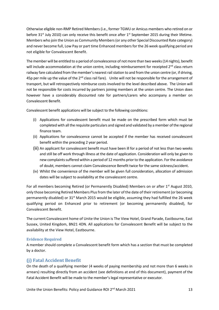Otherwise eligible non-RMP Retired Members (i.e., former TGWU or Amicus members who retired on or before 31<sup>st</sup> July 2010) can only receive this benefit once after 1<sup>st</sup> September 2015 during their lifetime. Members who join the Union as Community Members (or any other Special Discounted Rate category) and never become full, Low Pay or part time Enhanced members for the 26 week qualifying period are not eligible for Convalescent Benefit.

The member will be entitled to a period of convalescence of not more than two weeks (14 nights), benefit will include accommodation at the union centre, including reimbursement for receipted 2<sup>nd</sup> class return railway fare calculated from the member's nearest rail station to and from the union centre (or, if driving, 45p per mile up the value of the  $2^{nd}$  class rail fare). Unite will not be responsible for the arrangement of transport, but will retrospectively reimburse costs involved to the level described above. The Union will not be responsible for costs incurred by partners joining members at the union centre. The Union does however have a considerably discounted rate for partners/carers who accompany a member on Convalescent Benefit.

Convalescent benefit applications will be subject to the following conditions:

- (i) Applications for convalescent benefit must be made on the prescribed form which must be completed with all the requisite particulars and signed and validated by a member of the regional finance team.
- (ii) Applications for convalescence cannot be accepted if the member has received convalescent benefit within the preceding 2 year period.
- (iii) An applicant for convalescent benefit must have been ill for a period of not less than two weeks and still be off work through illness at the date of application. Consideration will only be given to new complaints suffered within a period of 12 months prior to the application. For the avoidance of doubt, members cannot claim Convalescence Benefit twice for the same sickness/accident.
- (iv) Whilst the convenience of the member will be given full consideration, allocation of admission dates will be subject to availability at the convalescent centre.

For all members becoming Retired (or Permanently Disabled) Members on or after 1<sup>st</sup> August 2010, only those becoming Retired Members Plus from the later of the date of their retirement (or becoming permanently disabled) or  $31<sup>st</sup>$  March 2015 would be eligible, assuming they had fulfilled the 26 week qualifying period on Enhanced prior to retirement (or becoming permanently disabled), for Convalescent Benefit.

The current Convalescent home of Unite the Union is The View Hotel, Grand Parade, Eastbourne, East Sussex, United Kingdom, BN21 4DN. All applications for Convalescent Benefit will be subject to the availability at the View Hotel, Eastbourne.

## **Evidence Required**

A member should complete a Convalescent benefit form which has a section that must be completed by a doctor.

# <span id="page-13-0"></span>**(j) Fatal Accident Benefit**

On the death of a qualifying member (4 weeks of paying membership and not more than 6 weeks in arrears) resulting directly from an accident (see definitions at end of this document), payment of the Fatal Accident Benefit will be made to the member's legal representative or executor.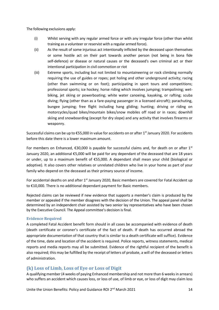The following exclusions apply:

- (i) Whilst serving with any regular armed force or with any irregular force (other than whilst training as a volunteer or reservist with a regular armed force).
- (ii) As the result of some injurious act intentionally inflicted by the deceased upon themselves or some hostile act on their part towards another person (not being in bona fide self-defence) or disease or natural causes or the deceased's own criminal act or their intentional participation in civil commotion or riot
- (iii) Extreme sports, including but not limited to mountaineering or rock climbing normally requiring the use of guides or ropes; pot holing and other underground activity; racing (other than swimming or on foot); participating in sport tours and competitions; professional sports; ice hockey; horse riding which involves jumping; trampolining; wetbiking, jet skiing or powerboating; white water canoeing, kayaking, or rafting; scuba diving; flying (other than as a fare-paying passenger in a licensed aircraft); parachuting, bungee jumping; free flight including hang gliding; hunting; driving or riding on motorcycles/quad bikes/mountain bikes/snow mobiles off road or in races; downhill skiing and snowboarding (except for dry slope) and any activity that involves firearms or weaponry.

Successful claims can be up to €55,000 in value for accidents on or after 1<sup>st</sup> January 2020. For accidents before this date there is a lower maximum amount.

For members on Enhanced,  $\epsilon$ 30,000 is payable for successful claims and, for death on or after 1<sup>st</sup> January 2020, an additional €5,000 will be paid for any dependant of the deceased that are 18 years or under, up to a maximum benefit of €55,000. A dependant shall mean your child (biological or adoptive). It also covers other relatives or unrelated children who live in your home as part of your family who depend on the deceased as their primary source of income.

For accidental deaths on and after  $1<sup>st</sup>$  January 2020, Basic members are covered for Fatal Accident up to €10,000. There is no additional dependant payment for Basic members.

Rejected claims can be reviewed if new evidence that supports a member's claim is produced by the member or appealed if the member disagrees with the decision of the Union. The appeal panel shall be determined by an independent chair assisted by two senior lay representatives who have been chosen by the Executive Council. The Appeal committee's decision is final.

## **Evidence Required**

A completed Fatal Accident benefit form should in all cases be accompanied with evidence of death (death certificate or coroner's certificate of the fact of death. If death has occurred abroad the appropriate documentation of that country that is similar to a death certificate will suffice). Evidence of the time, date and location of the accident is required. Police reports, witness statements, medical reports and media reports may all be submitted. Evidence of the rightful recipient of the benefit is also required; this may be fulfilled by the receipt of letters of probate, a will of the deceased or letters of administration.

# <span id="page-14-0"></span>**(k) Loss of Limb, Loss of Eye or Loss of Digit**

A qualifying member (4 weeks of paying Enhanced membership and not more than 6 weeks in arrears) who suffers an accident which causes loss, or loss of use, of limb or eye, or loss of digit may claim loss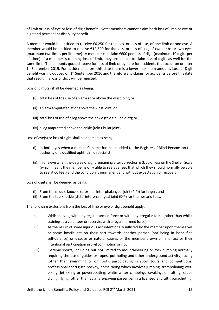of limb or loss of eye or loss of digit benefit. Note: members cannot claim both loss of limb or eye or digit and permanent disability benefit.

A member would be entitled to receive €6,250 for the loss, or loss of use, of one limb or one eye. A member would be entitled to receive €12,500 for the loss, or loss of use, of two limbs or two eyes (maximum two limbs per lifetime). A member can claim €600 per loss of digit (maximum 10 digits per lifetime). If a member is claiming loss of limb, they are unable to claim loss of digits as well for the same limb. The amounts quoted above for loss of limb or eye are for accidents that occur on or after 1<sup>st</sup> September 2015. For accidents before this date there is a lower maximum amount. Loss of Digit benefit was introduced on 1<sup>st</sup> September 2016 and therefore any claims for accidents before this date that result in a loss of digit will be rejected.

Loss of Limb(s) shall be deemed as being:

- (i) total loss of the use of an arm at or above the wrist joint; or
- (ii) an arm amputated at or above the wrist joint; or
- (iii) total loss of use of a leg above the ankle (talo tibular joint); or
- (iv) a leg amputated above the ankle (talo tibular joint)

Loss of eye(s) or loss of sight shall be deemed as being:

- (i) in both eyes when a member's name has been added to the Register of Blind Persons on the authority of a qualified ophthalmic specialist.
- (ii) in one eye when the degree of sight remaining after correction is 3/60 or less on the Snellen Scale (which means the member is only able to see at 3 feet that which they should normally be able to see at 60 feet) and the condition is permanent and without expectation of recovery.

Loss of digit shall be deemed as being:

- (i) From the middle knuckle (proximal inter-phalangeal joint (PIP)) for fingers and
- (ii) From the top knuckle (distal interphalangeal joint (DIP) for thumbs and toes.

The following exclusions from the loss of limb or eye or digit benefit apply:

- (i) Whilst serving with any regular armed force or with any irregular force (other than whilst training as a volunteer or reservist with a regular armed force).
- (ii) As the result of some injurious act intentionally inflicted by the member upon themselves or some hostile act on their part towards another person (not being in bona fide self-defence) or disease or natural causes or the member's own criminal act or their intentional participation in civil commotion or riot
- (iii) Extreme sports, including but not limited to mountaineering or rock climbing normally requiring the use of guides or ropes; pot holing and other underground activity; racing (other than swimming or on foot); participating in sport tours and competitions; professional sports; ice hockey; horse riding which involves jumping; trampolining; wetbiking, jet skiing or powerboating; white water canoeing, kayaking, or rafting; scuba diving; flying (other than as a fare-paying passenger in a licensed aircraft); parachuting,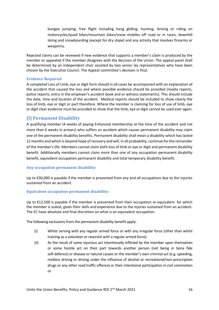bungee jumping; free flight including hang gliding; hunting; driving or riding on motorcycles/quad bikes/mountain bikes/snow mobiles off road or in races; downhill skiing and snowboarding (except for dry slope) and any activity that involves firearms or weaponry.

Rejected claims can be reviewed if new evidence that supports a member's claim is produced by the member or appealed if the member disagrees with the decision of the Union. The appeal panel shall be determined by an independent chair assisted by two senior lay representatives who have been chosen by the Executive Council. The Appeal committee's decision is final.

#### **Evidence Required**

A completed Loss of Limb, eye or digit form should in all cases be accompanied with an explanation of the accident that caused the loss and where possible evidence should be provided (media reports, police reports, entry in the employer's accident book and or witness statements). This should include the date, time and location of the accident. Medical reports should be included to show clearly the loss of limb, eye or digit or part therefore. Where the member is claiming for loss of use of limb, eye or digit clear evidence must be provided to show that the limb, eye or digit cannot be used ever again.

# <span id="page-16-0"></span>**(l) Permanent Disability**

A qualifying member (4 weeks of paying Enhanced membership at the time of the accident and not more than 6 weeks in arrears) who suffers an accident which causes permanent disability may claim one of the permanent disability benefits. Permanent disability shall mean a disability which has lasted 12 months and which is beyond hope of recovery and will, in all probability, continue for the remainder of the member's life. Members cannot claim both loss of limb or eye or digit and permanent disability benefit. Additionally members cannot claim more than one of any occupation permanent disability benefit, equivalent occupation permanent disability and total temporary disability benefit.

## <span id="page-16-1"></span>**Any occupation permanent disability:**

Up to €30,000 is payable if the member is prevented from any and all occupations due to the injuries sustained from an accident.

## <span id="page-16-2"></span>**Equivalent occupation permanent disability:**

Up to  $\epsilon$ 12,500 is payable if the member is prevented from their occupation or equivalent for which the member is suited, given their skills and experience due to the injuries sustained from an accident. The EC have absolute and final discretion on what is an equivalent occupation.

The following exclusions from the permanent disability benefit apply:

- (i) Whilst serving with any regular armed force or with any irregular force (other than whilst training as a volunteer or reservist with a regular armed force).
- (ii) As the result of some injurious act intentionally inflicted by the member upon themselves or some hostile act on their part towards another person (not being in bona fide self-defence) or disease or natural causes or the member's own criminal act (e.g. speeding, reckless driving or driving under the influence of alcohol or recreational/non-prescription drugs or any other road traffic offence) or their intentional participation in civil commotion or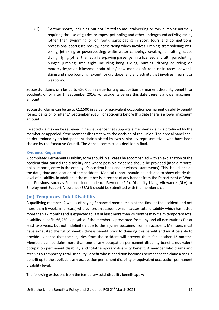(iii) Extreme sports, including but not limited to mountaineering or rock climbing normally requiring the use of guides or ropes; pot holing and other underground activity; racing (other than swimming or on foot); participating in sport tours and competitions; professional sports; ice hockey; horse riding which involves jumping; trampolining; wetbiking, jet skiing or powerboating; white water canoeing, kayaking, or rafting; scuba diving; flying (other than as a fare-paying passenger in a licensed aircraft); parachuting, bungee jumping; free flight including hang gliding; hunting; driving or riding on motorcycles/quad bikes/mountain bikes/snow mobiles off road or in races; downhill skiing and snowboarding (except for dry slope) and any activity that involves firearms or weaponry.

Successful claims can be up to €30,000 in value for any occupation permanent disability benefit for accidents on or after 1<sup>st</sup> September 2016. For accidents before this date there is a lower maximum amount.

Successful claims can be up to €12,500 in value for equivalent occupation permanent disability benefit for accidents on or after  $1<sup>st</sup>$  September 2016. For accidents before this date there is a lower maximum amount.

Rejected claims can be reviewed if new evidence that supports a member's claim is produced by the member or appealed if the member disagrees with the decision of the Union. The appeal panel shall be determined by an independent chair assisted by two senior lay representatives who have been chosen by the Executive Council. The Appeal committee's decision is final.

## **Evidence Required**

A completed Permanent Disability form should in all cases be accompanied with an explanation of the accident that caused the disability and where possible evidence should be provided (media reports, police reports, entry in the employer's accident book and or witness statements). This should include the date, time and location of the accident. Medical reports should be included to show clearly the level of disability. In addition if the member is in receipt of any benefit from the Department of Work and Pensions, such as Personal Independence Payment (PIP), Disability Living Allowance (DLA) or Employment Support Allowance (ESA) it should be submitted with the member's claim.

# <span id="page-17-0"></span>**(m) Temporary Total Disability**

A qualifying member (4 weeks of paying Enhanced membership at the time of the accident and not more than 6 weeks in arrears) who suffers an accident which causes total disability which has lasted more than 12 months and is expected to last at least more than 24 months may claim temporary total disability benefit. €6,250 is payable if the member is prevented from any and all occupations for at least two years, but not indefinitely due to the injuries sustained from an accident. Members must have exhausted the full 51 week sickness benefit prior to claiming this benefit and must be able to provide evidence that their injuries from the accident will prevent them for another 12 months. Members cannot claim more than one of any occupation permanent disability benefit, equivalent occupation permanent disability and total temporary disability benefit. A member who claims and receives a Temporary Total Disability Benefit whose condition becomes permanent can claim a top up benefit up to the applicable any occupation permanent disability or equivalent occupation permanent disability level.

The following exclusions from the temporary total disability benefit apply: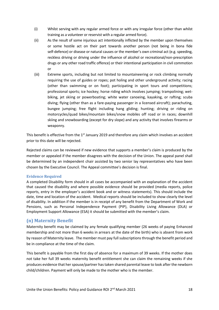- (i) Whilst serving with any regular armed force or with any irregular force (other than whilst training as a volunteer or reservist with a regular armed force).
- (ii) As the result of some injurious act intentionally inflicted by the member upon themselves or some hostile act on their part towards another person (not being in bona fide self-defence) or disease or natural causes or the member's own criminal act (e.g. speeding, reckless driving or driving under the influence of alcohol or recreational/non-prescription drugs or any other road traffic offence) or their intentional participation in civil commotion or
- (iii) Extreme sports, including but not limited to mountaineering or rock climbing normally requiring the use of guides or ropes; pot holing and other underground activity; racing (other than swimming or on foot); participating in sport tours and competitions; professional sports; ice hockey; horse riding which involves jumping; trampolining; wetbiking, jet skiing or powerboating; white water canoeing, kayaking, or rafting; scuba diving; flying (other than as a fare-paying passenger in a licensed aircraft); parachuting, bungee jumping; free flight including hang gliding; hunting; driving or riding on motorcycles/quad bikes/mountain bikes/snow mobiles off road or in races; downhill skiing and snowboarding (except for dry slope) and any activity that involves firearms or weaponry.

This benefit is effective from the 1<sup>st</sup> January 2019 and therefore any claim which involves an accident prior to this date will be rejected.

Rejected claims can be reviewed if new evidence that supports a member's claim is produced by the member or appealed if the member disagrees with the decision of the Union. The appeal panel shall be determined by an independent chair assisted by two senior lay representatives who have been chosen by the Executive Council. The Appeal committee's decision is final.

## **Evidence Required**

A completed Disability form should in all cases be accompanied with an explanation of the accident that caused the disability and where possible evidence should be provided (media reports, police reports, entry in the employer's accident book and or witness statements). This should include the date, time and location of the accident. Medical reports should be included to show clearly the level of disability. In addition if the member is in receipt of any benefit from the Department of Work and Pensions, such as Personal Independence Payment (PIP), Disability Living Allowance (DLA) or Employment Support Allowance (ESA) it should be submitted with the member's claim.

# <span id="page-18-0"></span>**(n) Maternity Benefit**

Maternity benefit may be claimed by any female qualifying member (26 weeks of paying Enhanced membership and not more than 6 weeks in arrears at the date of the birth) who is absent from work by reason of Maternity leave. The member must pay full subscriptions through the benefit period and be in compliance at the time of the claim.

This benefit is payable from the first day of absence for a maximum of 39 weeks. If the mother does not take her full 39 weeks maternity benefit entitlement she can claim the remaining weeks if she produces evidence that her spouse/partner has taken shared parental leave to look after the newborn child/children. Payment will only be made to the mother who is the member.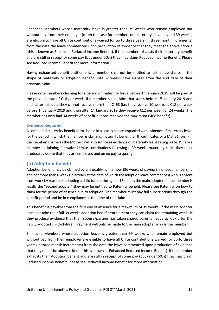Enhanced Members whose maternity leave is greater than 39 weeks who remain employed but without pay from their employer (often the case for members on maternity leave beyond 39 weeks) are eligible to have all Unite contributions waived for up to three years (in three month increments) from the date the leave commenced upon production of evidence that they meet the above criteria (this is known as Enhanced Reduced Income Benefit). If the member exhausts their maternity benefit and are still in receipt of some pay (but under 50%) they may claim Reduced Income Benefit. Please see Reduced Income Benefit for more information.

Having exhausted benefit entitlement, a member shall not be entitled to further assistance in the shape of maternity or adoption benefit until 52 weeks have elapsed from the end date of their previous claim.

Please note members claiming for a period of maternity leave before  $1<sup>st</sup>$  January 2019 will be paid at the previous rate of  $\epsilon$ 18 per week. If a member has a claim that starts before 1st January 2019 and ends after this date they cannot receive more than €468 (i.e. they receive 10 weeks at €18 per week before 1<sup>st</sup> January 2019 and then after 1<sup>st</sup> January 2019 they receive  $\epsilon$ 12 per week for 24 weeks. The member has only had 34 weeks of benefit but has received the maximum €468 benefit).

#### <span id="page-19-0"></span>**Evidence Required**

A completed maternity benefit form should in all cases be accompanied with evidence of maternity leave for the period in which the member is claiming maternity benefit. Birth certificates or a Mat B1 form (in the member's name as the Mother) will also suffice as evidence of maternity leave taking place. Where a member is claiming for waived Unite contributions following a 39 weeks maternity claim they must produce evidence that they are employed and on no pay to qualify.

## <span id="page-19-1"></span>**(o) Adoption Benefit**

Adoption benefit may be claimed by any qualifying member (26 weeks of paying Enhanced membership and not more than 6 weeks in arrears at the date of which the adoption leave commences) who is absent from work by reason of adopting a child (under the age of 18) and is the main adopter. If the member is legally the "second adopter" they may be entitled to Paternity benefit. Please see Paternity on how to claim for the period of absence due to adoption. The member must pay full subscriptions through the benefit period and be in compliance at the time of the claim.

This benefit is payable from the first day of absence for a maximum of 39 weeks. If the main adopter does not take their full 39 weeks adoption benefit entitlement they can claim the remaining weeks if they produce evidence that their spouse/partner has taken shared parental leave to look after the newly adopted child/children. Payment will only be made to the main adopter who is the member.

Enhanced Members whose adoption leave is greater than 39 weeks who remain employed but without pay from their employer are eligible to have all Unite contributions waived for up to three years (in three month increments) from the date the leave commenced upon production of evidence that they meet the above criteria (this is known as Enhanced Reduced Income Benefit). If the member exhausts their Adoption benefit and are still in receipt of some pay (but under 50%) they may claim Reduced Income Benefit. Please see Reduced Income Benefit for more information.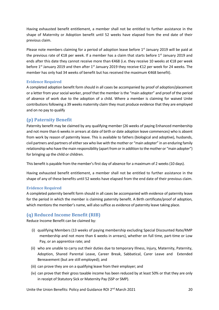Having exhausted benefit entitlement, a member shall not be entitled to further assistance in the shape of Maternity or Adoption benefit until 52 weeks have elapsed from the end date of their previous claim.

Please note members claiming for a period of adoption leave before  $1<sup>st</sup>$  January 2019 will be paid at the previous rate of  $\epsilon$ 18 per week. If a member has a claim that starts before 1st January 2019 and ends after this date they cannot receive more than €468 (i.e. they receive 10 weeks at €18 per week before 1<sup>st</sup> January 2019 and then after 1<sup>st</sup> January 2019 they receive €12 per week for 24 weeks. The member has only had 34 weeks of benefit but has received the maximum €468 benefit).

## <span id="page-20-0"></span>**Evidence Required**

A completed adoption benefit form should in all cases be accompanied by proof of adoption/placement or a letter from your social worker, proof that the member is the "main adopter" and proof of the period of absence of work due to the adoption of a child. Where a member is claiming for waived Unite contributions following a 39 weeks maternity claim they must produce evidence that they are employed and on no pay to qualify

# <span id="page-20-1"></span>**(p) Paternity Benefit**

Paternity benefit may be claimed by any qualifying member (26 weeks of paying Enhanced membership and not more than 6 weeks in arrears at date of birth or date adoption leave commences) who is absent from work by reason of paternity leave. This is available to fathers (biological and adoptive), husbands, civil partners and partners of either sex who live with the mother or "main adopter" in an enduring family relationship who have the main responsibility (apart from or in addition to the mother or "main adopter") for bringing up the child or children.

This benefit is payable from the member's first day of absence for a maximum of 2 weeks (10 days).

Having exhausted benefit entitlement, a member shall not be entitled to further assistance in the shape of any of these benefits until 52 weeks have elapsed from the end date of their previous claim.

## <span id="page-20-2"></span>**Evidence Required**

A completed paternity benefit form should in all cases be accompanied with evidence of paternity leave for the period in which the member is claiming paternity benefit. A Birth certificate/proof of adoption, which mentions the member's name, will also suffice as evidence of paternity leave taking place.

# <span id="page-20-3"></span>**(q) Reduced Income Benefit (RIB)**

Reduce Income Benefit can be claimed by:

- (i) qualifying Members (13 weeks of paying membership excluding Special Discounted Rate/RMP membership and not more than 6 weeks in arrears), whether on full time, part-time or Low Pay, or an apprentice rate; and
- (ii) who are unable to carry out their duties due to temporary Illness, Injury, Maternity, Paternity, Adoption, Shared Parental Leave, Career Break, Sabbatical, Carer Leave and Extended Bereavement (but are still employed); and
- (iii) can prove they are on a qualifying leave from their employer; and
- (iv) can prove that their gross taxable income has been reduced by at least 50% or that they are only in receipt of Statutory Sick or Maternity Pay (SSP or SMP).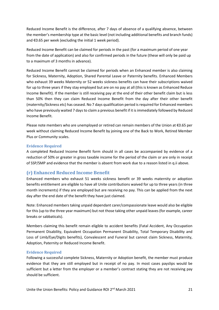Reduced Income Benefit is the difference, after 7 days of absence of a qualifying absence, between the member's membership type at the basic level (not including additional benefits and branch funds) and €0.65 per week (excluding the initial 1 week period).

Reduced Income Benefit can be claimed for periods in the past (for a maximum period of one year from the date of application) and also for confirmed periods in the future (these will only be paid up to a maximum of 3 months in advance).

Reduced Income Benefit cannot be claimed for periods when an Enhanced member is also claiming for Sickness, Maternity, Adoption, Shared Parental Leave or Paternity benefits. Enhanced Members who exhaust 39 weeks Maternity or 52 weeks sickness benefits can have their subscriptions waived for up to three years if they stay employed but are on no pay at all (this is known as Enhanced Reduce Income Benefit). If the member is still receiving pay at the end of their other benefit claim but is less than 50% then they can claim Reduced Income Benefit from the day after their other benefit (maternity/Sickness etc) has ceased. No 7 days qualification period is required for Enhanced members who have previously waited 7 days to claim a previous benefit if it is immediately followed by Reduced Income Benefit.

Please note members who are unemployed or retired can remain members of the Union at €0.65 per week without claiming Reduced Income Benefit by joining one of the Back to Work, Retired Member Plus or Community scales.

## <span id="page-21-0"></span>**Evidence Required**

A completed Reduced Income Benefit form should in all cases be accompanied by evidence of a reduction of 50% or greater in gross taxable income for the period of the claim or are only in receipt of SSP/SMP and evidence that the member is absent from work due to a reason listed in q.ii above.

## <span id="page-21-1"></span>**(r) Enhanced Reduced Income Benefit**

Enhanced members who exhaust 51 weeks sickness benefit or 39 weeks maternity or adoption benefits entitlement are eligible to have all Unite contributions waived for up to three years (in three month increments) if they are employed but are receiving no pay. This can be applied from the next day after the end date of the benefit they have just claimed.

Note: Enhanced members taking unpaid dependant carer/compassionate leave would also be eligible for this (up to the three year maximum) but not those taking other unpaid leaves (for example, career breaks or sabbaticals).

Members claiming this benefit remain eligible to accident benefits (Fatal Accident, Any Occupation Permanent Disability, Equivalent Occupation Permanent Disability, Total Temporary Disability and Loss of Limb/Eye/Digits benefits), Convalescent and Funeral but cannot claim Sickness, Maternity, Adoption, Paternity or Reduced Income Benefit.

#### <span id="page-21-2"></span>**Evidence Required**

Following a successful complete Sickness, Maternity or Adoption benefit, the member must produce evidence that they are still employed but in receipt of no pay. In most cases payslips would be sufficient but a letter from the employer or a member's contract stating they are not receiving pay should be sufficient.